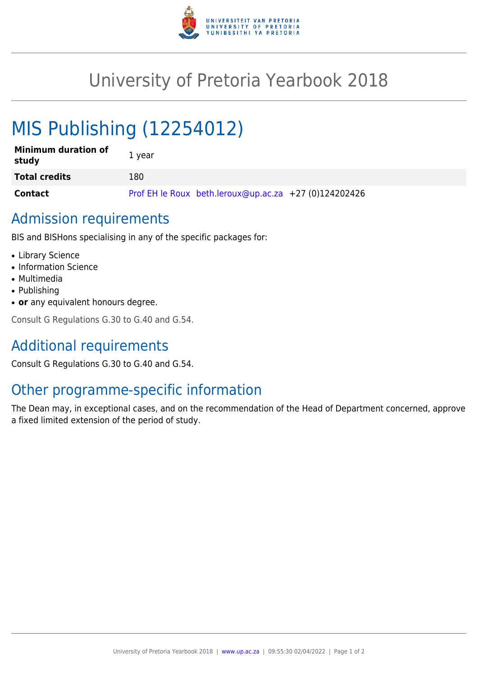

## University of Pretoria Yearbook 2018

# MIS Publishing (12254012)

| <b>Minimum duration of</b><br>study | 1 year                                                |
|-------------------------------------|-------------------------------------------------------|
| <b>Total credits</b>                | 180                                                   |
| <b>Contact</b>                      | Prof EH le Roux beth.leroux@up.ac.za +27 (0)124202426 |

### Admission requirements

BIS and BISHons specialising in any of the specific packages for:

- Library Science
- Information Science
- Multimedia
- Publishing
- **or** any equivalent honours degree.

Consult G Regulations G.30 to G.40 and G.54.

## Additional requirements

Consult G Regulations G.30 to G.40 and G.54.

## Other programme-specific information

The Dean may, in exceptional cases, and on the recommendation of the Head of Department concerned, approve a fixed limited extension of the period of study.